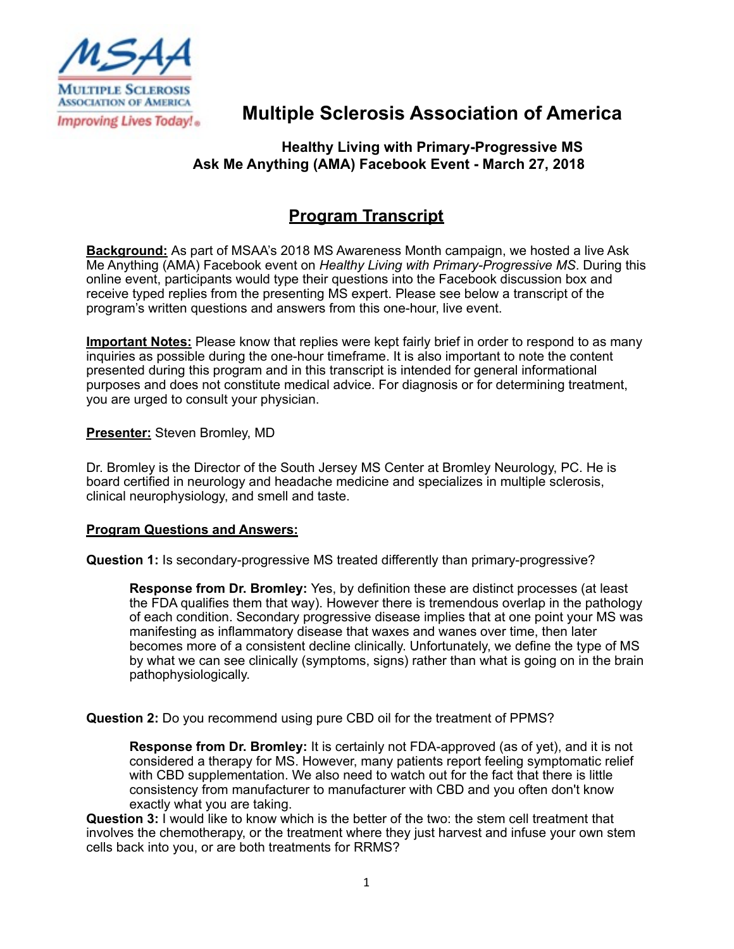

## **Multiple Sclerosis Association of America**

## **Healthy Living with Primary-Progressive MS Ask Me Anything (AMA) Facebook Event - March 27, 2018**

## **Program Transcript**

**Background:** As part of MSAA's 2018 MS Awareness Month campaign, we hosted a live Ask Me Anything (AMA) Facebook event on *Healthy Living with Primary-Progressive MS*. During this online event, participants would type their questions into the Facebook discussion box and receive typed replies from the presenting MS expert. Please see below a transcript of the program's written questions and answers from this one-hour, live event.

**Important Notes:** Please know that replies were kept fairly brief in order to respond to as many inquiries as possible during the one-hour timeframe. It is also important to note the content presented during this program and in this transcript is intended for general informational purposes and does not constitute medical advice. For diagnosis or for determining treatment, you are urged to consult your physician.

**Presenter:** Steven Bromley, MD

Dr. Bromley is the Director of the South Jersey MS Center at Bromley Neurology, PC. He is board certified in neurology and headache medicine and specializes in multiple sclerosis, clinical neurophysiology, and smell and taste.

## **Program Questions and Answers:**

**Question 1:** Is secondary-progressive MS treated differently than primary-progressive?

**Response from Dr. Bromley:** Yes, by definition these are distinct processes (at least the FDA qualifies them that way). However there is tremendous overlap in the pathology of each condition. Secondary progressive disease implies that at one point your MS was manifesting as inflammatory disease that waxes and wanes over time, then later becomes more of a consistent decline clinically. Unfortunately, we define the type of MS by what we can see clinically (symptoms, signs) rather than what is going on in the brain pathophysiologically.

**Question 2:** Do you recommend using pure CBD oil for the treatment of PPMS?

**Response from Dr. Bromley:** It is certainly not FDA-approved (as of yet), and it is not considered a therapy for MS. However, many patients report feeling symptomatic relief with CBD supplementation. We also need to watch out for the fact that there is little consistency from manufacturer to manufacturer with CBD and you often don't know exactly what you are taking.

**Question 3:** I would like to know which is the better of the two: the stem cell treatment that involves the chemotherapy, or the treatment where they just harvest and infuse your own stem cells back into you, or are both treatments for RRMS?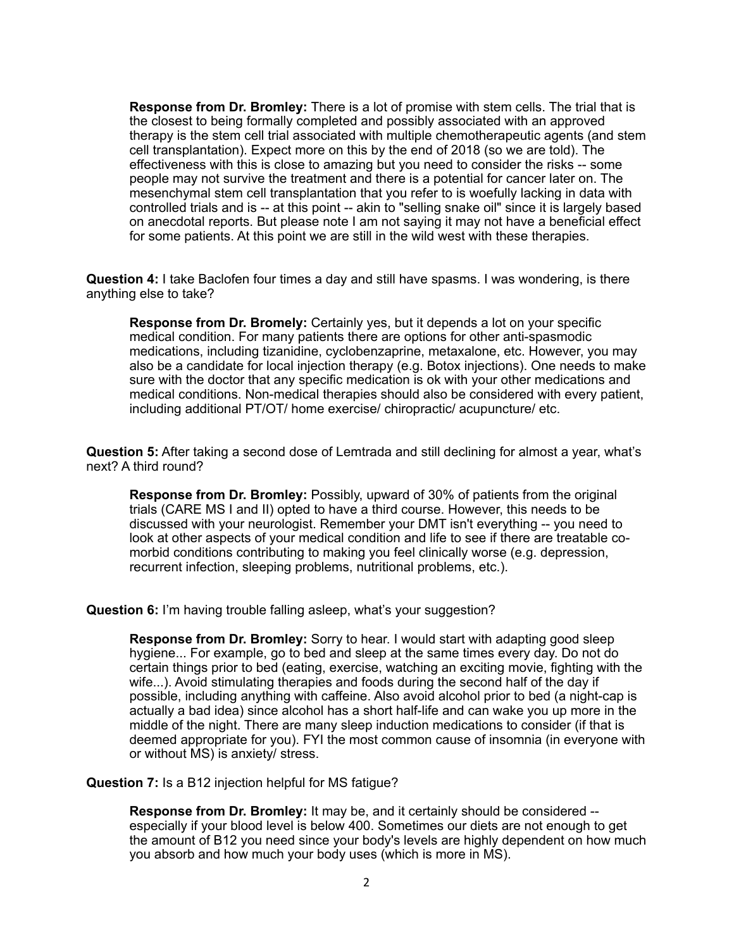**Response from Dr. Bromley:** There is a lot of promise with stem cells. The trial that is the closest to being formally completed and possibly associated with an approved therapy is the stem cell trial associated with multiple chemotherapeutic agents (and stem cell transplantation). Expect more on this by the end of 2018 (so we are told). The effectiveness with this is close to amazing but you need to consider the risks -- some people may not survive the treatment and there is a potential for cancer later on. The mesenchymal stem cell transplantation that you refer to is woefully lacking in data with controlled trials and is -- at this point -- akin to "selling snake oil" since it is largely based on anecdotal reports. But please note I am not saying it may not have a beneficial effect for some patients. At this point we are still in the wild west with these therapies.

**Question 4:** I take Baclofen four times a day and still have spasms. I was wondering, is there anything else to take?

**Response from Dr. Bromely:** Certainly yes, but it depends a lot on your specific medical condition. For many patients there are options for other anti-spasmodic medications, including tizanidine, cyclobenzaprine, metaxalone, etc. However, you may also be a candidate for local injection therapy (e.g. Botox injections). One needs to make sure with the doctor that any specific medication is ok with your other medications and medical conditions. Non-medical therapies should also be considered with every patient, including additional PT/OT/ home exercise/ chiropractic/ acupuncture/ etc.

**Question 5:** After taking a second dose of Lemtrada and still declining for almost a year, what's next? A third round?

**Response from Dr. Bromley:** Possibly, upward of 30% of patients from the original trials (CARE MS I and II) opted to have a third course. However, this needs to be discussed with your neurologist. Remember your DMT isn't everything -- you need to look at other aspects of your medical condition and life to see if there are treatable comorbid conditions contributing to making you feel clinically worse (e.g. depression, recurrent infection, sleeping problems, nutritional problems, etc.).

**Question 6:** I'm having trouble falling asleep, what's your suggestion?

**Response from Dr. Bromley:** Sorry to hear. I would start with adapting good sleep hygiene... For example, go to bed and sleep at the same times every day. Do not do certain things prior to bed (eating, exercise, watching an exciting movie, fighting with the wife...). Avoid stimulating therapies and foods during the second half of the day if possible, including anything with caffeine. Also avoid alcohol prior to bed (a night-cap is actually a bad idea) since alcohol has a short half-life and can wake you up more in the middle of the night. There are many sleep induction medications to consider (if that is deemed appropriate for you). FYI the most common cause of insomnia (in everyone with or without MS) is anxiety/ stress.

**Question 7:** Is a B12 injection helpful for MS fatigue?

**Response from Dr. Bromley:** It may be, and it certainly should be considered - especially if your blood level is below 400. Sometimes our diets are not enough to get the amount of B12 you need since your body's levels are highly dependent on how much you absorb and how much your body uses (which is more in MS).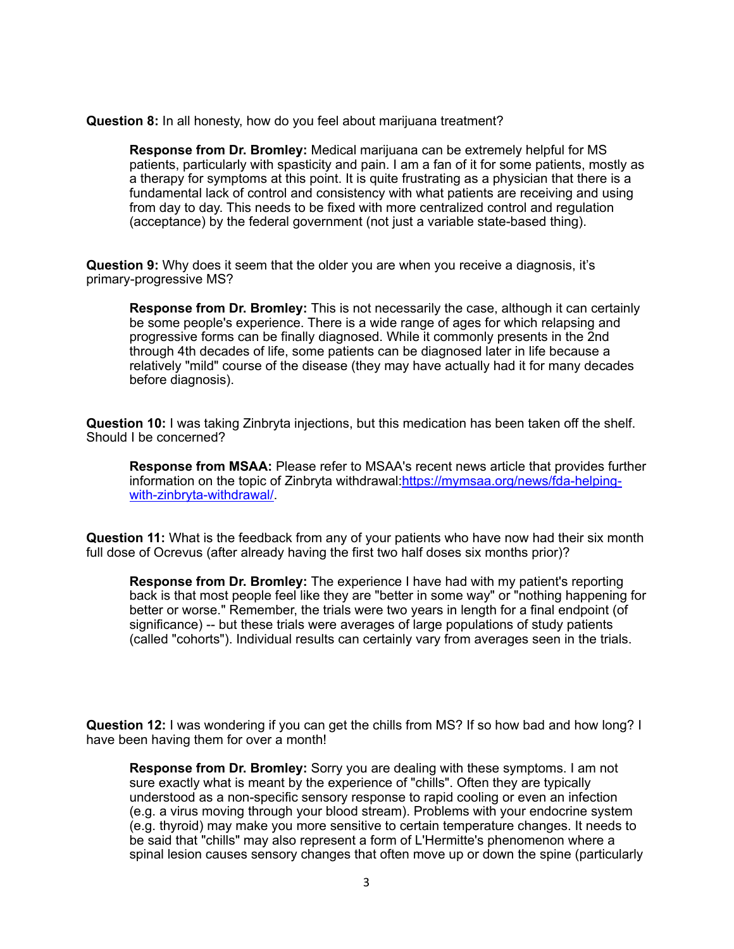**Question 8:** In all honesty, how do you feel about marijuana treatment?

**Response from Dr. Bromley:** Medical marijuana can be extremely helpful for MS patients, particularly with spasticity and pain. I am a fan of it for some patients, mostly as a therapy for symptoms at this point. It is quite frustrating as a physician that there is a fundamental lack of control and consistency with what patients are receiving and using from day to day. This needs to be fixed with more centralized control and regulation (acceptance) by the federal government (not just a variable state-based thing).

**Question 9:** Why does it seem that the older you are when you receive a diagnosis, it's primary-progressive MS?

**Response from Dr. Bromley:** This is not necessarily the case, although it can certainly be some people's experience. There is a wide range of ages for which relapsing and progressive forms can be finally diagnosed. While it commonly presents in the 2nd through 4th decades of life, some patients can be diagnosed later in life because a relatively "mild" course of the disease (they may have actually had it for many decades before diagnosis).

**Question 10:** I was taking Zinbryta injections, but this medication has been taken off the shelf. Should I be concerned?

**Response from MSAA:** Please refer to MSAA's recent news article that provides further [information on the topic of Zinbryta withdrawal:https://mymsaa.org/news/fda-helping](https://mymsaa.org/news/fda-helping-with-zinbryta-withdrawal/)with-zinbryta-withdrawal/.

**Question 11:** What is the feedback from any of your patients who have now had their six month full dose of Ocrevus (after already having the first two half doses six months prior)?

**Response from Dr. Bromley:** The experience I have had with my patient's reporting back is that most people feel like they are "better in some way" or "nothing happening for better or worse." Remember, the trials were two years in length for a final endpoint (of significance) -- but these trials were averages of large populations of study patients (called "cohorts"). Individual results can certainly vary from averages seen in the trials.

**Question 12:** I was wondering if you can get the chills from MS? If so how bad and how long? I have been having them for over a month!

**Response from Dr. Bromley:** Sorry you are dealing with these symptoms. I am not sure exactly what is meant by the experience of "chills". Often they are typically understood as a non-specific sensory response to rapid cooling or even an infection (e.g. a virus moving through your blood stream). Problems with your endocrine system (e.g. thyroid) may make you more sensitive to certain temperature changes. It needs to be said that "chills" may also represent a form of L'Hermitte's phenomenon where a spinal lesion causes sensory changes that often move up or down the spine (particularly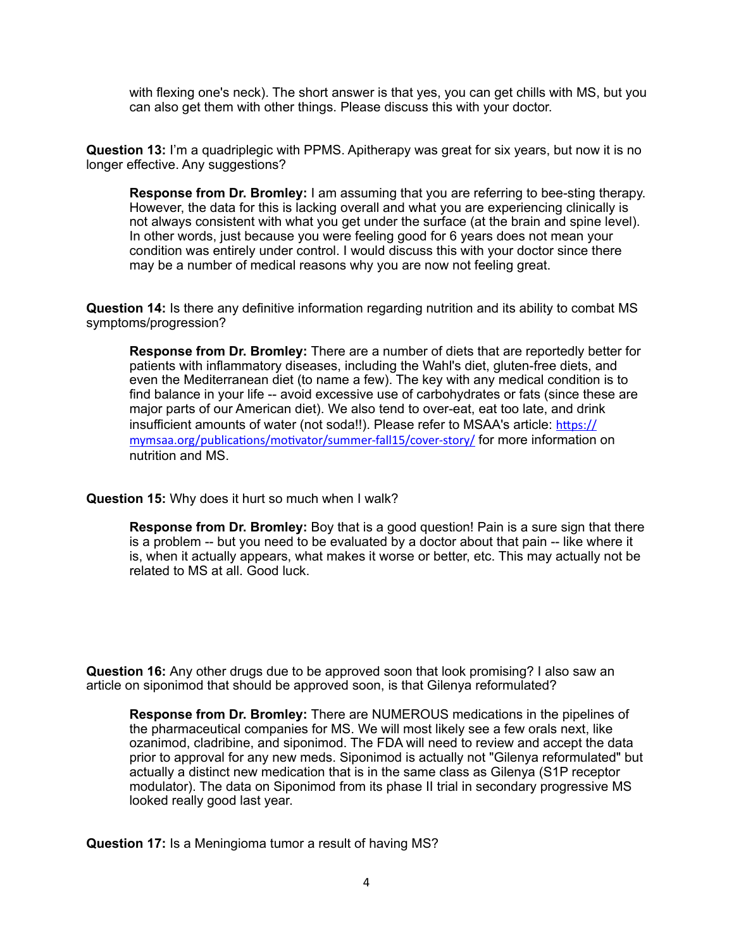with flexing one's neck). The short answer is that yes, you can get chills with MS, but you can also get them with other things. Please discuss this with your doctor.

**Question 13:** I'm a quadriplegic with PPMS. Apitherapy was great for six years, but now it is no longer effective. Any suggestions?

**Response from Dr. Bromley:** I am assuming that you are referring to bee-sting therapy. However, the data for this is lacking overall and what you are experiencing clinically is not always consistent with what you get under the surface (at the brain and spine level). In other words, just because you were feeling good for 6 years does not mean your condition was entirely under control. I would discuss this with your doctor since there may be a number of medical reasons why you are now not feeling great.

**Question 14:** Is there any definitive information regarding nutrition and its ability to combat MS symptoms/progression?

**Response from Dr. Bromley:** There are a number of diets that are reportedly better for patients with inflammatory diseases, including the Wahl's diet, gluten-free diets, and even the Mediterranean diet (to name a few). The key with any medical condition is to find balance in your life -- avoid excessive use of carbohydrates or fats (since these are major parts of our American diet). We also tend to over-eat, eat too late, and drink [insufficient amounts of water \(not soda!!\). Please refer to MSAA's article:](https://mymsaa.org/publications/motivator/summer-fall15/cover-story/) https:// mymsaa.org/publicatons/motvator/summer-fall15/cover-story/ for more information on nutrition and MS.

**Question 15:** Why does it hurt so much when I walk?

**Response from Dr. Bromley:** Boy that is a good question! Pain is a sure sign that there is a problem -- but you need to be evaluated by a doctor about that pain -- like where it is, when it actually appears, what makes it worse or better, etc. This may actually not be related to MS at all. Good luck.

**Question 16:** Any other drugs due to be approved soon that look promising? I also saw an article on siponimod that should be approved soon, is that Gilenya reformulated?

**Response from Dr. Bromley:** There are NUMEROUS medications in the pipelines of the pharmaceutical companies for MS. We will most likely see a few orals next, like ozanimod, cladribine, and siponimod. The FDA will need to review and accept the data prior to approval for any new meds. Siponimod is actually not "Gilenya reformulated" but actually a distinct new medication that is in the same class as Gilenya (S1P receptor modulator). The data on Siponimod from its phase II trial in secondary progressive MS looked really good last year.

**Question 17:** Is a Meningioma tumor a result of having MS?